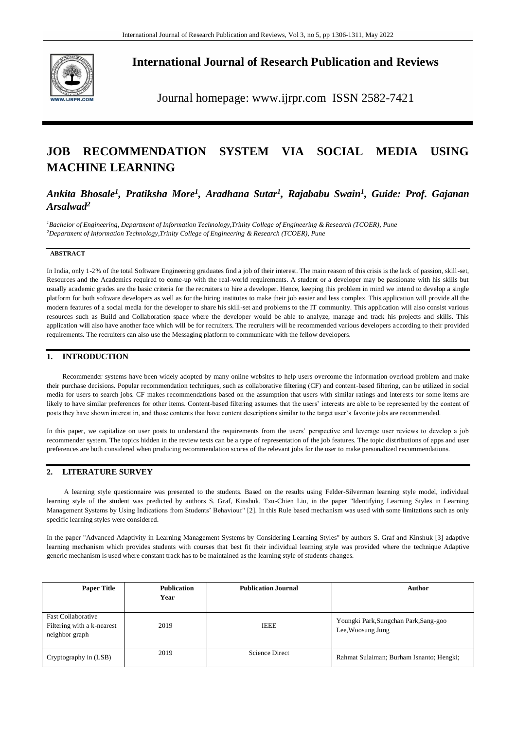

**International Journal of Research Publication and Reviews**

Journal homepage: www.ijrpr.com ISSN 2582-7421

# **JOB RECOMMENDATION SYSTEM VIA SOCIAL MEDIA USING MACHINE LEARNING**

*Ankita Bhosale<sup>1</sup> , Pratiksha More<sup>1</sup> , Aradhana Sutar<sup>1</sup> , Rajababu Swain<sup>1</sup> , Guide: Prof. Gajanan Arsalwad<sup>2</sup>*

*<sup>1</sup>Bachelor of Engineering, Department of Information Technology,Trinity College of Engineering & Research (TCOER), Pune <sup>2</sup>Department of Information Technology,Trinity College of Engineering & Research (TCOER), Pune* 

## **ABSTRACT**

In India, only 1-2% of the total Software Engineering graduates find a job of their interest. The main reason of this crisis is the lack of passion, skill-set, Resources and the Academics required to come-up with the real-world requirements. A student or a developer may be passionate with his skills but usually academic grades are the basic criteria for the recruiters to hire a developer. Hence, keeping this problem in mind we intend to develop a single platform for both software developers as well as for the hiring institutes to make their job easier and less complex. This application will provide all the modern features of a social media for the developer to share his skill-set and problems to the IT community. This application will also consist various resources such as Build and Collaboration space where the developer would be able to analyze, manage and track his projects and skills. This application will also have another face which will be for recruiters. The recruiters will be recommended various developers according to their provided requirements. The recruiters can also use the Messaging platform to communicate with the fellow developers.

# **1. INTRODUCTION**

Recommender systems have been widely adopted by many online websites to help users overcome the information overload problem and make their purchase decisions. Popular recommendation techniques, such as collaborative filtering (CF) and content-based filtering, can be utilized in social media for users to search jobs. CF makes recommendations based on the assumption that users with similar ratings and interests for some items are likely to have similar preferences for other items. Content-based filtering assumes that the users' interests are able to be represented by the content of posts they have shown interest in, and those contents that have content descriptions similar to the target user's favorite jobs are recommended.

In this paper, we capitalize on user posts to understand the requirements from the users' perspective and leverage user reviews to develop a job recommender system. The topics hidden in the review texts can be a type of representation of the job features. The topic distributions of apps and user preferences are both considered when producing recommendation scores of the relevant jobs for the user to make personalized recommendations.

# **2. LITERATURE SURVEY**

A learning style questionnaire was presented to the students. Based on the results using Felder-Silverman learning style model, individual learning style of the student was predicted by authors S. Graf, Kinshuk, Tzu-Chien Liu, in the paper "Identifying Learning Styles in Learning Management Systems by Using Indications from Students' Behaviour" [2]. In this Rule based mechanism was used with some limitations such as only specific learning styles were considered.

In the paper "Advanced Adaptivity in Learning Management Systems by Considering Learning Styles" by authors S. Graf and Kinshuk [3] adaptive learning mechanism which provides students with courses that best fit their individual learning style was provided where the technique Adaptive generic mechanism is used where constant track has to be maintained as the learning style of students changes.

| <b>Paper Title</b>                                                        | <b>Publication</b><br>Year | <b>Publication Journal</b> | Author                                                     |
|---------------------------------------------------------------------------|----------------------------|----------------------------|------------------------------------------------------------|
| <b>Fast Collaborative</b><br>Filtering with a k-nearest<br>neighbor graph | 2019                       | <b>IEEE</b>                | Youngki Park, Sungchan Park, Sang-goo<br>Lee, Woosung Jung |
| Cryptography in (LSB)                                                     | 2019                       | <b>Science Direct</b>      | Rahmat Sulaiman; Burham Isnanto; Hengki;                   |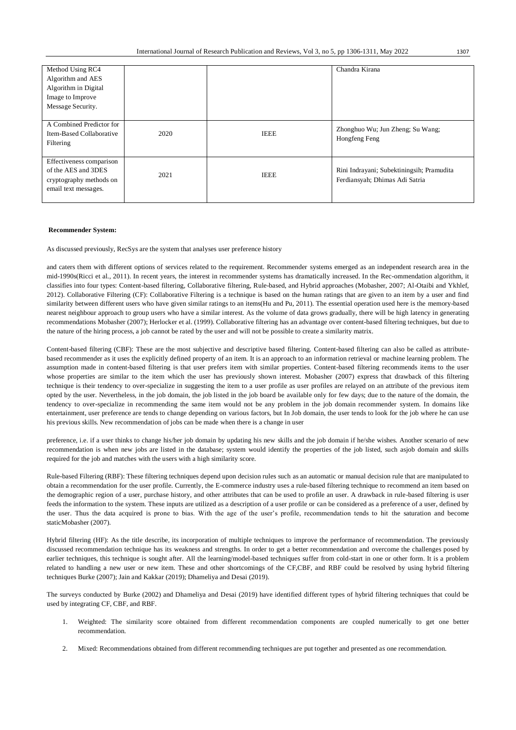| Method Using RC4<br>Algorithm and AES<br>Algorithm in Digital<br>Image to Improve<br>Message Security. |      |             | Chandra Kirana                                                              |
|--------------------------------------------------------------------------------------------------------|------|-------------|-----------------------------------------------------------------------------|
| A Combined Predictor for<br>Item-Based Collaborative<br>Filtering                                      | 2020 | <b>IEEE</b> | Zhonghuo Wu; Jun Zheng; Su Wang;<br>Hongfeng Feng                           |
| Effectiveness comparison<br>of the AES and 3DES<br>cryptography methods on<br>email text messages.     | 2021 | <b>IEEE</b> | Rini Indrayani; Subektiningsih; Pramudita<br>Ferdiansyah; Dhimas Adi Satria |

#### **Recommender System:**

As discussed previously, RecSys are the system that analyses user preference history

and caters them with different options of services related to the requirement. Recommender systems emerged as an independent research area in the mid-1990s(Ricci et al., 2011). In recent years, the interest in recommender systems has dramatically increased. In the Rec-ommendation algorithm, it classifies into four types: Content-based filtering, Collaborative filtering, Rule-based, and Hybrid approaches (Mobasher, 2007; Al-Otaibi and Ykhlef, 2012). Collaborative Filtering (CF): Collaborative Filtering is a technique is based on the human ratings that are given to an item by a user and find similarity between different users who have given similar ratings to an items(Hu and Pu, 2011). The essential operation used here is the memory-based nearest neighbour approach to group users who have a similar interest. As the volume of data grows gradually, there will be high latency in generating recommendations Mobasher (2007); Herlocker et al. (1999). Collaborative filtering has an advantage over content-based filtering techniques, but due to the nature of the hiring process, a job cannot be rated by the user and will not be possible to create a similarity matrix.

Content-based filtering (CBF): These are the most subjective and descriptive based filtering. Content-based filtering can also be called as attributebased recommender as it uses the explicitly defined property of an item. It is an approach to an information retrieval or machine learning problem. The assumption made in content-based filtering is that user prefers item with similar properties. Content-based filtering recommends items to the user whose properties are similar to the item which the user has previously shown interest. Mobasher (2007) express that drawback of this filtering technique is their tendency to over-specialize in suggesting the item to a user profile as user profiles are relayed on an attribute of the previous item opted by the user. Nevertheless, in the job domain, the job listed in the job board be available only for few days; due to the nature of the domain, the tendency to over-specialize in recommending the same item would not be any problem in the job domain recommender system. In domains like entertainment, user preference are tends to change depending on various factors, but In Job domain, the user tends to look for the job where he can use his previous skills. New recommendation of jobs can be made when there is a change in user

preference, i.e. if a user thinks to change his/her job domain by updating his new skills and the job domain if he/she wishes. Another scenario of new recommendation is when new jobs are listed in the database; system would identify the properties of the job listed, such asjob domain and skills required for the job and matches with the users with a high similarity score.

Rule-based Filtering (RBF): These filtering techniques depend upon decision rules such as an automatic or manual decision rule that are manipulated to obtain a recommendation for the user profile. Currently, the E-commerce industry uses a rule-based filtering technique to recommend an item based on the demographic region of a user, purchase history, and other attributes that can be used to profile an user. A drawback in rule-based filtering is user feeds the information to the system. These inputs are utilized as a description of a user profile or can be considered as a preference of a user, defined by the user. Thus the data acquired is prone to bias. With the age of the user's profile, recommendation tends to hit the saturation and become staticMobasher (2007).

Hybrid filtering (HF): As the title describe, its incorporation of multiple techniques to improve the performance of recommendation. The previously discussed recommendation technique has its weakness and strengths. In order to get a better recommendation and overcome the challenges posed by earlier techniques, this technique is sought after. All the learning/model-based techniques suffer from cold-start in one or other form. It is a problem related to handling a new user or new item. These and other shortcomings of the CF,CBF, and RBF could be resolved by using hybrid filtering techniques Burke (2007); Jain and Kakkar (2019); Dhameliya and Desai (2019).

The surveys conducted by Burke (2002) and Dhameliya and Desai (2019) have identified different types of hybrid filtering techniques that could be used by integrating CF, CBF, and RBF.

- 1. Weighted: The similarity score obtained from different recommendation components are coupled numerically to get one better recommendation.
- 2. Mixed: Recommendations obtained from different recommending techniques are put together and presented as one recommendation.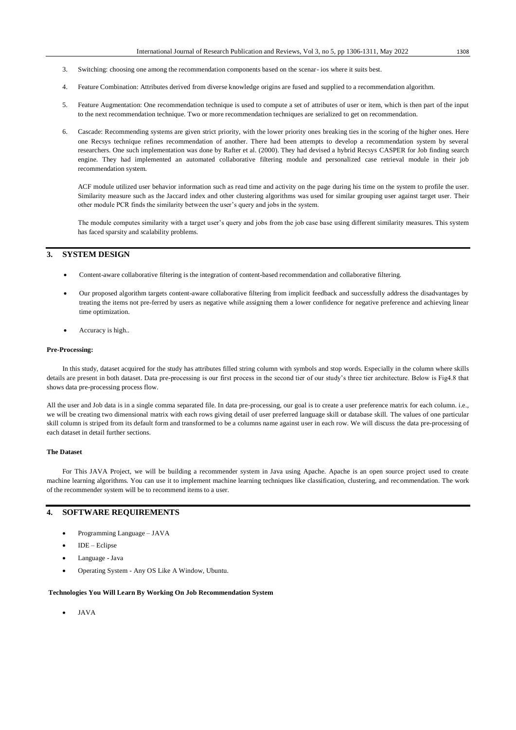- 3. Switching: choosing one among the recommendation components based on the scenar- ios where it suits best.
- 4. Feature Combination: Attributes derived from diverse knowledge origins are fused and supplied to a recommendation algorithm.
- 5. Feature Augmentation: One recommendation technique is used to compute a set of attributes of user or item, which is then part of the input to the next recommendation technique. Two or more recommendation techniques are serialized to get on recommendation.
- 6. Cascade: Recommending systems are given strict priority, with the lower priority ones breaking ties in the scoring of the higher ones. Here one Recsys technique refines recommendation of another. There had been attempts to develop a recommendation system by several researchers. One such implementation was done by Rafter et al. (2000). They had devised a hybrid Recsys CASPER for Job finding search engine. They had implemented an automated collaborative filtering module and personalized case retrieval module in their job recommendation system.

ACF module utilized user behavior information such as read time and activity on the page during his time on the system to profile the user. Similarity measure such as the Jaccard index and other clustering algorithms was used for similar grouping user against target user. Their other module PCR finds the similarity between the user's query and jobs in the system.

The module computes similarity with a target user's query and jobs from the job case base using different similarity measures. This system has faced sparsity and scalability problems.

# **3. SYSTEM DESIGN**

- Content-aware collaborative filtering is the integration of content-based recommendation and collaborative filtering.
- Our proposed algorithm targets content-aware collaborative filtering from implicit feedback and successfully address the disadvantages by treating the items not pre-ferred by users as negative while assigning them a lower confidence for negative preference and achieving linear time optimization.
- Accuracy is high..

#### **Pre-Processing:**

In this study, dataset acquired for the study has attributes filled string column with symbols and stop words. Especially in the column where skills details are present in both dataset. Data pre-processing is our first process in the second tier of our study's three tier architecture. Below is Fig4.8 that shows data pre-processing process flow.

All the user and Job data is in a single comma separated file. In data pre-processing, our goal is to create a user preference matrix for each column. i.e., we will be creating two dimensional matrix with each rows giving detail of user preferred language skill or database skill. The values of one particular skill column is striped from its default form and transformed to be a columns name against user in each row. We will discuss the data pre-processing of each dataset in detail further sections.

#### **The Dataset**

For This JAVA Project, we will be building a recommender system in Java using Apache. Apache is an open source project used to create machine learning algorithms. You can use it to implement machine learning techniques like classification, clustering, and recommendation. The work of the recommender system will be to recommend items to a user.

## **4. SOFTWARE REQUIREMENTS**

- Programming Language JAVA
- IDE Eclipse
- Language Java
- Operating System Any OS Like A Window, Ubuntu.

#### **Technologies You Will Learn By Working On Job Recommendation System**

JAVA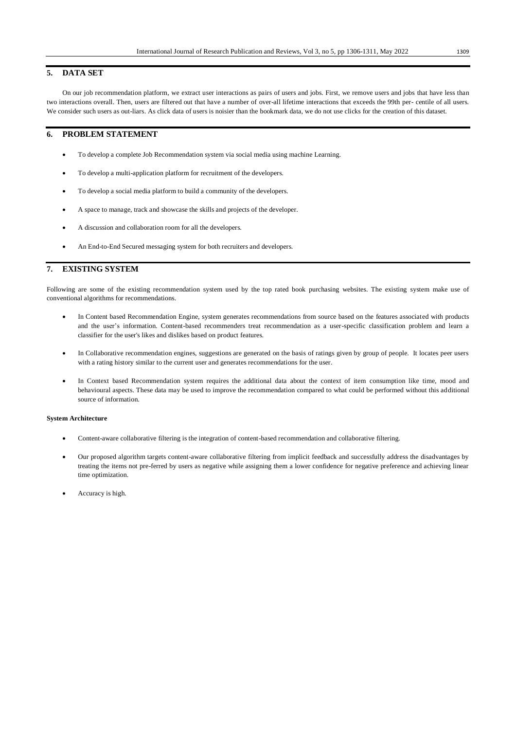## **5. DATA SET**

On our job recommendation platform, we extract user interactions as pairs of users and jobs. First, we remove users and jobs that have less than two interactions overall. Then, users are filtered out that have a number of over-all lifetime interactions that exceeds the 99th per- centile of all users. We consider such users as out-liars. As click data of users is noisier than the bookmark data, we do not use clicks for the creation of this dataset.

## **6. PROBLEM STATEMENT**

- To develop a complete Job Recommendation system via social media using machine Learning.
- To develop a multi-application platform for recruitment of the developers.
- To develop a social media platform to build a community of the developers.
- A space to manage, track and showcase the skills and projects of the developer.
- A discussion and collaboration room for all the developers.
- An End-to-End Secured messaging system for both recruiters and developers.

## **7. EXISTING SYSTEM**

Following are some of the existing recommendation system used by the top rated book purchasing websites. The existing system make use of conventional algorithms for recommendations.

- In Content based Recommendation Engine, system generates recommendations from source based on the features associated with products and the user's information. Content-based recommenders treat recommendation as a user-specific classification problem and learn a classifier for the user's likes and dislikes based on product features.
- In Collaborative recommendation engines, suggestions are generated on the basis of ratings given by group of people. It locates peer users with a rating history similar to the current user and generates recommendations for the user.
- In Context based Recommendation system requires the additional data about the context of item consumption like time, mood and behavioural aspects. These data may be used to improve the recommendation compared to what could be performed without this additional source of information.

### **System Architecture**

- Content-aware collaborative filtering is the integration of content-based recommendation and collaborative filtering.
- Our proposed algorithm targets content-aware collaborative filtering from implicit feedback and successfully address the disadvantages by treating the items not pre-ferred by users as negative while assigning them a lower confidence for negative preference and achieving linear time optimization.
- Accuracy is high.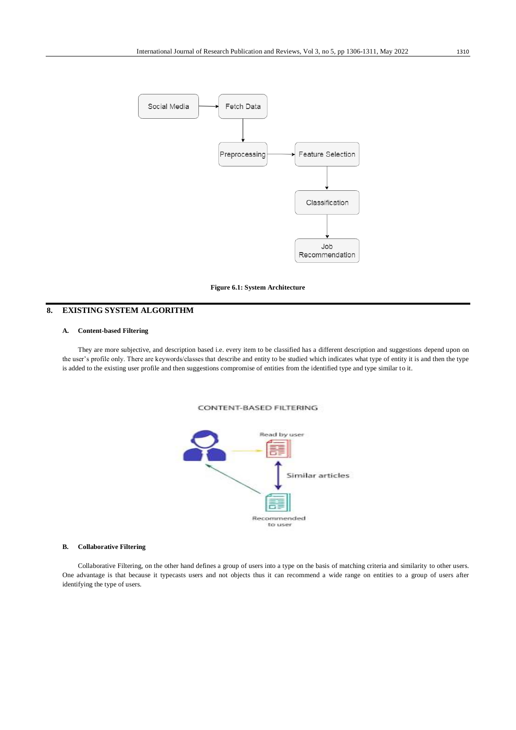

#### **Figure 6.1: System Architecture**

# **8. EXISTING SYSTEM ALGORITHM**

## **A. Content-based Filtering**

They are more subjective, and description based i.e. every item to be classified has a different description and suggestions depend upon on the user's profile only. There are keywords/classes that describe and entity to be studied which indicates what type of entity it is and then the type is added to the existing user profile and then suggestions compromise of entities from the identified type and type similar to it.

**CONTENT-BASED FILTERING** 



#### **B. Collaborative Filtering**

Collaborative Filtering, on the other hand defines a group of users into a type on the basis of matching criteria and similarity to other users. One advantage is that because it typecasts users and not objects thus it can recommend a wide range on entities to a group of users after identifying the type of users.